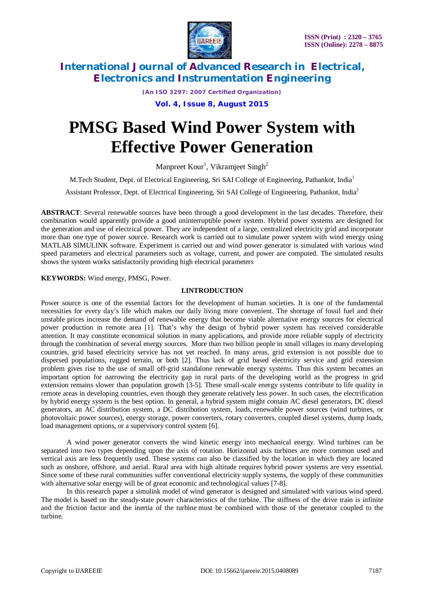

*(An ISO 3297: 2007 Certified Organization)*

**Vol. 4, Issue 8, August 2015**

# **PMSG Based Wind Power System with Effective Power Generation**

Manpreet Kour<sup>1</sup>, Vikramjeet Singh<sup>2</sup>

M.Tech Student, Dept. of Electrical Engineering, Sri SAI College of Engineering, Pathankot, India<sup>1</sup>

Assistant Professor, Dept. of Electrical Engineering, Sri SAI College of Engineering, Pathankot, India<sup>2</sup>

**ABSTRACT**: Several renewable sources have been through a good development in the last decades. Therefore, their combination would apparently provide a good uninterruptible power system. Hybrid power systems are designed for the generation and use of electrical power. They are independent of a large, centralized electricity grid and incorporate more than one type of power source. Research work is carried out to simulate power system with wind energy using MATLAB SIMULINK software. Experiment is carried out and wind power generator is simulated with various wind speed parameters and electrical parameters such as voltage, current, and power are computed. The simulated results shows the system works satisfactorily providing high electrical parameters

**KEYWORDS:** Wind energy, PMSG, Power.

## **I.INTRODUCTION**

Power source is one of the essential factors for the development of human societies. It is one of the fundamental necessities for every day's life which makes our daily living more convenient. The shortage of fossil fuel and their unstable prices increase the demand of renewable energy that become viable alternative energy sources for electrical power production in remote area [1]. That's why the design of hybrid power system has received considerable attention. It may constitute economical solution in many applications, and provide more reliable supply of electricity through the combination of several energy sources. More than two billion people in small villages in many developing countries, grid based electricity service has not yet reached. In many areas, grid extension is not possible due to dispersed populations, rugged terrain, or both [2]. Thus lack of grid based electricity service and grid extension problem gives rise to the use of small off-grid standalone renewable energy systems. Thus this system becomes an important option for narrowing the electricity gap in rural parts of the developing world as the progress in grid extension remains slower than population growth [3-5]. These small-scale energy systems contribute to life quality in remote areas in developing countries, even though they generate relatively less power. In such cases, the electrification by hybrid energy system is the best option. In general, a hybrid system might contain AC diesel generators, DC diesel generators, an AC distribution system, a DC distribution system, loads, renewable power sources (wind turbines, or photovoltaic power sources), energy storage, power converters, rotary converters, coupled diesel systems, dump loads, load management options, or a supervisory control system [6].

A wind power generator converts the wind kinetic energy into mechanical energy. Wind turbines can be separated into two types depending upon the axis of rotation. Horizontal axis turbines are more common used and vertical axis are less frequently used. These systems can also be classified by the location in which they are located such as onshore, offshore, and aerial. Rural area with high altitude requires hybrid power systems are very essential. Since some of these rural communities suffer conventional electricity supply systems, the supply of these communities with alternative solar energy will be of great economic and technological values [7-8].

In this research paper a simulink model of wind generator is designed and simulated with various wind speed. The model is based on the steady-state power characteristics of the turbine. The stiffness of the drive train is infinite and the friction factor and the inertia of the turbine must be combined with those of the generator coupled to the turbine.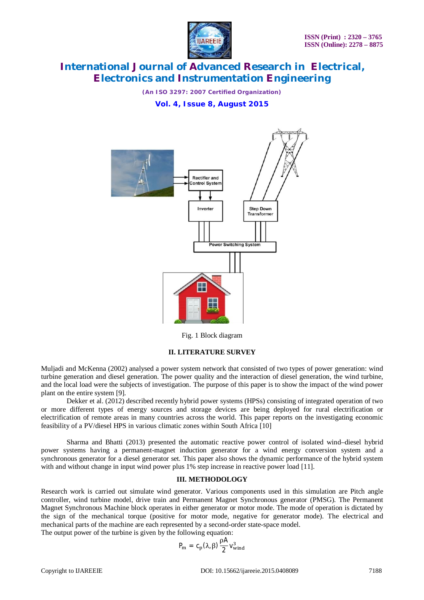

*(An ISO 3297: 2007 Certified Organization)*

## **Vol. 4, Issue 8, August 2015**



Fig. 1 Block diagram

## **II. LITERATURE SURVEY**

Muljadi and McKenna (2002) analysed a power system network that consisted of two types of power generation: wind turbine generation and diesel generation. The power quality and the interaction of diesel generation, the wind turbine, and the local load were the subjects of investigation. The purpose of this paper is to show the impact of the wind power plant on the entire system [9].

Dekker et al. (2012) described recently hybrid power systems (HPSs) consisting of integrated operation of two or more different types of energy sources and storage devices are being deployed for rural electrification or electrification of remote areas in many countries across the world. This paper reports on the investigating economic feasibility of a PV/diesel HPS in various climatic zones within South Africa [10]

Sharma and Bhatti (2013) presented the automatic reactive power control of isolated wind–diesel hybrid power systems having a permanent-magnet induction generator for a wind energy conversion system and a synchronous generator for a diesel generator set. This paper also shows the dynamic performance of the hybrid system with and without change in input wind power plus 1% step increase in reactive power load [11].

## **III. METHODOLOGY**

Research work is carried out simulate wind generator. Various components used in this simulation are Pitch angle controller, wind turbine model, drive train and Permanent Magnet Synchronous generator (PMSG). The Permanent Magnet Synchronous Machine block operates in either generator or motor mode. The mode of operation is dictated by the sign of the mechanical torque (positive for motor mode, negative for generator mode). The electrical and mechanical parts of the machine are each represented by a second-order state-space model. The output power of the turbine is given by the following equation:

$$
P_m = c_p(\lambda, \beta) \frac{\rho A}{2} v_{wind}^3
$$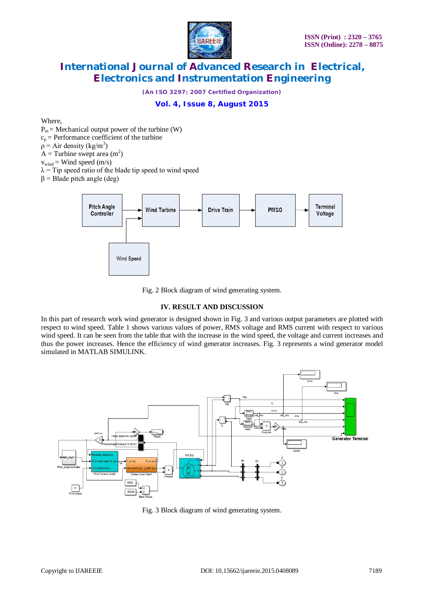

*(An ISO 3297: 2007 Certified Organization)*

## **Vol. 4, Issue 8, August 2015**

Where,

 $P_m$  = Mechanical output power of the turbine (W)

 $c_p$  = Performance coefficient of the turbine

 $p =$  Air density (kg/m<sup>3</sup>)

 $A =$ Turbine swept area (m<sup>2</sup>)

 $v_{wind}$  = Wind speed (m/s)

 $\lambda$  = Tip speed ratio of the blade tip speed to wind speed

 $β = Blade pitch angle (deg)$ 



Fig. 2 Block diagram of wind generating system.

## **IV. RESULT AND DISCUSSION**

In this part of research work wind generator is designed shown in Fig. 3 and various output parameters are plotted with respect to wind speed. Table 1 shows various values of power, RMS voltage and RMS current with respect to various wind speed. It can be seen from the table that with the increase in the wind speed, the voltage and current increases and thus the power increases. Hence the efficiency of wind generator increases. Fig. 3 represents a wind generator model simulated in MATLAB SIMULINK.



Fig. 3 Block diagram of wind generating system.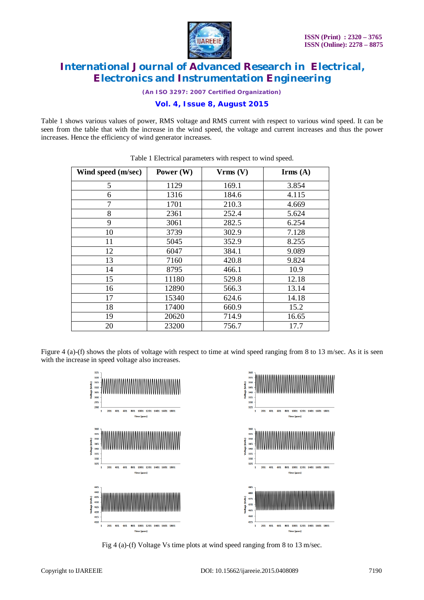

*(An ISO 3297: 2007 Certified Organization)*

**Vol. 4, Issue 8, August 2015**

Table 1 shows various values of power, RMS voltage and RMS current with respect to various wind speed. It can be seen from the table that with the increase in the wind speed, the voltage and current increases and thus the power increases. Hence the efficiency of wind generator increases.

| Wind speed (m/sec) | Power $(W)$ | Vrms (V) | $\text{Irms}(\text{A})$ |
|--------------------|-------------|----------|-------------------------|
| 5                  | 1129        | 169.1    | 3.854                   |
| 6                  | 1316        | 184.6    | 4.115                   |
| 7                  | 1701        | 210.3    | 4.669                   |
| 8                  | 2361        | 252.4    | 5.624                   |
| 9                  | 3061        | 282.5    | 6.254                   |
| 10                 | 3739        | 302.9    | 7.128                   |
| 11                 | 5045        | 352.9    | 8.255                   |
| 12                 | 6047        | 384.1    | 9.089                   |
| 13                 | 7160        | 420.8    | 9.824                   |
| 14                 | 8795        | 466.1    | 10.9                    |
| 15                 | 11180       | 529.8    | 12.18                   |
| 16                 | 12890       | 566.3    | 13.14                   |
| 17                 | 15340       | 624.6    | 14.18                   |
| 18                 | 17400       | 660.9    | 15.2                    |
| 19                 | 20620       | 714.9    | 16.65                   |
| 20                 | 23200       | 756.7    | 17.7                    |

| Table 1 Electrical parameters with respect to wind speed. |  |  |  |  |
|-----------------------------------------------------------|--|--|--|--|
|-----------------------------------------------------------|--|--|--|--|

Figure 4 (a)-(f) shows the plots of voltage with respect to time at wind speed ranging from 8 to 13 m/sec. As it is seen with the increase in speed voltage also increases.



Fig 4 (a)-(f) Voltage Vs time plots at wind speed ranging from 8 to 13 m/sec.